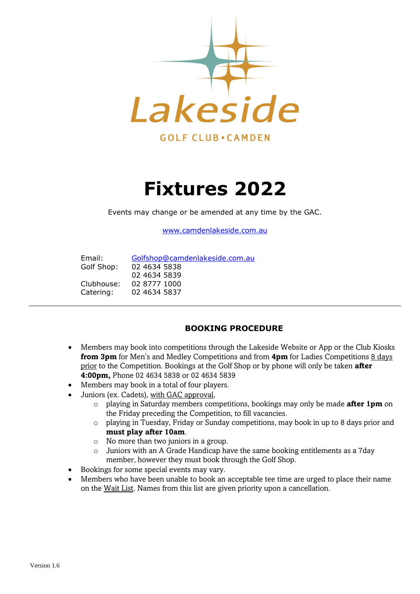

# **Fixtures 2022**

Events may change or be amended at any time by the GAC.

[www.camdenlakeside.com.au](http://www.camdenlakeside.com.au/)

| Email:     | Golfshop@camdenlakeside.com.au |
|------------|--------------------------------|
| Golf Shop: | 02 4634 5838                   |
|            | 02 4634 5839                   |
| Clubhouse: | 02 8777 1000                   |
| Catering:  | 02 4634 5837                   |

#### **BOOKING PROCEDURE**

- Members may book into competitions through the Lakeside Website or App or the Club Kiosks **from 3pm** for Men's and Medley Competitions and from **4pm** for Ladies Competitions 8 days prior to the Competition. Bookings at the Golf Shop or by phone will only be taken **after 4:00pm,** Phone 02 4634 5838 or 02 4634 5839
- Members may book in a total of four players.
- Juniors (ex. Cadets), with GAC approval,
	- o playing in Saturday members competitions, bookings may only be made **after 1pm** on the Friday preceding the Competition, to fill vacancies.
	- o playing in Tuesday, Friday or Sunday competitions, may book in up to 8 days prior and **must play after 10am**.
	- o No more than two juniors in a group.
	- o Juniors with an A Grade Handicap have the same booking entitlements as a 7day member, however they must book through the Golf Shop.
- Bookings for some special events may vary.
- Members who have been unable to book an acceptable tee time are urged to place their name on the Wait List. Names from this list are given priority upon a cancellation.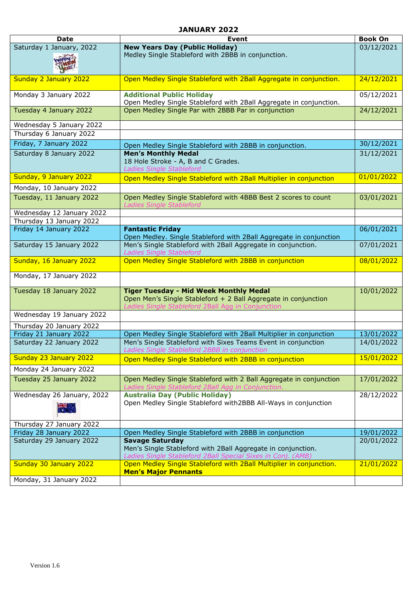#### **JANUARY 2022**

| <b>Date</b>                | <b>Event</b>                                                                                                                                          | <b>Book On</b> |
|----------------------------|-------------------------------------------------------------------------------------------------------------------------------------------------------|----------------|
| Saturday 1 January, 2022   | <b>New Years Day (Public Holiday)</b>                                                                                                                 | 03/12/2021     |
|                            | Medley Single Stableford with 2BBB in conjunction.                                                                                                    |                |
|                            |                                                                                                                                                       |                |
| Sunday 2 January 2022      | Open Medley Single Stableford with 2Ball Aggregate in conjunction.                                                                                    | 24/12/2021     |
| Monday 3 January 2022      | <b>Additional Public Holiday</b><br>Open Medley Single Stableford with 2Ball Aggregate in conjunction.                                                | 05/12/2021     |
| Tuesday 4 January 2022     | Open Medley Single Par with 2BBB Par in conjunction                                                                                                   | 24/12/2021     |
| Wednesday 5 January 2022   |                                                                                                                                                       |                |
| Thursday 6 January 2022    |                                                                                                                                                       |                |
| Friday, 7 January 2022     | Open Medley Single Stableford with 2BBB in conjunction.                                                                                               | 30/12/2021     |
| Saturday 8 January 2022    | <b>Men's Monthly Medal</b><br>18 Hole Stroke - A, B and C Grades.<br>Ladies Single Stableford                                                         | 31/12/2021     |
| Sunday, 9 January 2022     | Open Medley Single Stableford with 2Ball Multiplier in conjunction                                                                                    | 01/01/2022     |
| Monday, 10 January 2022    |                                                                                                                                                       |                |
| Tuesday, 11 January 2022   | Open Medley Single Stableford with 4BBB Best 2 scores to count<br><b>Ladies Single Stableford</b>                                                     | 03/01/2021     |
| Wednesday 12 January 2022  |                                                                                                                                                       |                |
| Thursday 13 January 2022   |                                                                                                                                                       |                |
| Friday 14 January 2022     | <b>Fantastic Friday</b><br>Open Medley. Single Stableford with 2Ball Aggregate in conjunction                                                         | 06/01/2021     |
| Saturday 15 January 2022   | Men's Single Stableford with 2Ball Aggregate in conjunction.<br><b>Ladies Single Stableford</b>                                                       | 07/01/2021     |
| Sunday, 16 January 2022    | Open Medley Single Stableford with 2BBB in conjunction                                                                                                | 08/01/2022     |
| Monday, 17 January 2022    |                                                                                                                                                       |                |
| Tuesday 18 January 2022    | <b>Tiger Tuesday - Mid Week Monthly Medal</b>                                                                                                         | 10/01/2022     |
|                            | Open Men's Single Stableford + 2 Ball Aggregate in conjunction<br>Ladies Single Stableford 2Ball Agg in Conjunction                                   |                |
| Wednesday 19 January 2022  |                                                                                                                                                       |                |
| Thursday 20 January 2022   |                                                                                                                                                       |                |
| Friday 21 January 2022     | Open Medley Single Stableford with 2Ball Multiplier in conjunction                                                                                    | 13/01/2022     |
| Saturday 22 January 2022   | Men's Single Stableford with Sixes Teams Event in conjunction<br>Ladies Single Stableford 2BBB in conjunction                                         | 14/01/2022     |
| Sunday 23 January 2022     | Open Medley Single Stableford with 2BBB in conjunction                                                                                                | 15/01/2022     |
| Monday 24 January 2022     |                                                                                                                                                       |                |
| Tuesday 25 January 2022    | Open Medley Single Stableford with 2 Ball Aggregate in conjunction<br>Ladies Single Stableford 2Ball Agg in Conjunction.                              | 17/01/2022     |
| Wednesday 26 January, 2022 | <b>Australia Day (Public Holiday)</b>                                                                                                                 | 28/12/2022     |
| $\frac{1}{\sqrt{2}}$       | Open Medley Single Stableford with2BBB All-Ways in conjunction                                                                                        |                |
| Thursday 27 January 2022   |                                                                                                                                                       |                |
| Friday 28 January 2022     | Open Medley Single Stableford with 2BBB in conjunction                                                                                                | 19/01/2022     |
| Saturday 29 January 2022   | <b>Savage Saturday</b><br>Men's Single Stableford with 2Ball Aggregate in conjunction.<br>Ladies Single Stableford 2Ball Special Sixes in Conj. (AMB) | 20/01/2022     |
| Sunday 30 January 2022     | Open Medley Single Stableford with 2Ball Multiplier in conjunction.<br><b>Men's Major Pennants</b>                                                    | 21/01/2022     |
| Monday, 31 January 2022    |                                                                                                                                                       |                |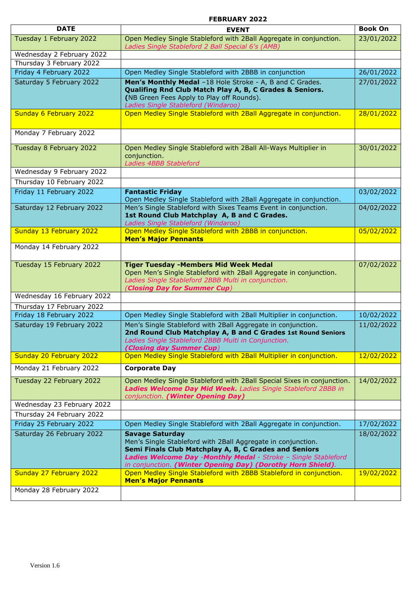#### **FEBRUARY 2022**

| <b>DATE</b>                | <b>EVENT</b>                                                                                                                                                                                                                                                                     | <b>Book On</b> |
|----------------------------|----------------------------------------------------------------------------------------------------------------------------------------------------------------------------------------------------------------------------------------------------------------------------------|----------------|
| Tuesday 1 February 2022    | Open Medley Single Stableford with 2Ball Aggregate in conjunction.<br>Ladies Single Stableford 2 Ball Special 6's (AMB)                                                                                                                                                          | 23/01/2022     |
| Wednesday 2 February 2022  |                                                                                                                                                                                                                                                                                  |                |
| Thursday 3 February 2022   |                                                                                                                                                                                                                                                                                  |                |
| Friday 4 February 2022     | Open Medley Single Stableford with 2BBB in conjunction                                                                                                                                                                                                                           | 26/01/2022     |
| Saturday 5 February 2022   | Men's Monthly Medal -18 Hole Stroke - A, B and C Grades.<br>Qualifing Rnd Club Match Play A, B, C Grades & Seniors.<br>(NB Green Fees Apply to Play off Rounds).<br>Ladies Single Stableford (Windaroo)                                                                          | 27/01/2022     |
| Sunday 6 February 2022     | Open Medley Single Stableford with 2Ball Aggregate in conjunction.                                                                                                                                                                                                               | 28/01/2022     |
| Monday 7 February 2022     |                                                                                                                                                                                                                                                                                  |                |
| Tuesday 8 February 2022    | Open Medley Single Stableford with 2Ball All-Ways Multiplier in<br>conjunction.<br>Ladies 4BBB Stableford                                                                                                                                                                        | 30/01/2022     |
| Wednesday 9 February 2022  |                                                                                                                                                                                                                                                                                  |                |
| Thursday 10 February 2022  |                                                                                                                                                                                                                                                                                  |                |
| Friday 11 February 2022    | <b>Fantastic Friday</b><br>Open Medley Single Stableford with 2Ball Aggregate in conjunction.                                                                                                                                                                                    | 03/02/2022     |
| Saturday 12 February 2022  | Men's Single Stableford with Sixes Teams Event in conjunction.<br>1st Round Club Matchplay A, B and C Grades.<br>Ladies Single Stableford (Windaroo)                                                                                                                             | 04/02/2022     |
| Sunday 13 February 2022    | Open Medley Single Stableford with 2BBB in conjunction.<br><b>Men's Major Pennants</b>                                                                                                                                                                                           | 05/02/2022     |
| Monday 14 February 2022    |                                                                                                                                                                                                                                                                                  |                |
| Tuesday 15 February 2022   | <b>Tiger Tuesday -Members Mid Week Medal</b><br>Open Men's Single Stableford with 2Ball Aggregate in conjunction.<br>Ladies Single Stableford 2BBB Multi in conjunction.<br>(Closing Day for Summer Cup)                                                                         | 07/02/2022     |
| Wednesday 16 February 2022 |                                                                                                                                                                                                                                                                                  |                |
| Thursday 17 February 2022  |                                                                                                                                                                                                                                                                                  |                |
| Friday 18 February 2022    | Open Medley Single Stableford with 2Ball Multiplier in conjunction.                                                                                                                                                                                                              | 10/02/2022     |
| Saturday 19 February 2022  | Men's Single Stableford with 2Ball Aggregate in conjunction.<br>2nd Round Club Matchplay A, B and C Grades 1st Round Seniors<br>Ladies Single Stableford 2BBB Multi in Conjunction.<br>(Closing day Summer Cup)                                                                  | 11/02/2022     |
| Sunday 20 February 2022    | Open Medley Single Stableford with 2Ball Multiplier in conjunction.                                                                                                                                                                                                              | 12/02/2022     |
| Monday 21 February 2022    | <b>Corporate Day</b>                                                                                                                                                                                                                                                             |                |
| Tuesday 22 February 2022   | Open Medley Single Stableford with 2Ball Special Sixes in conjunction.<br>Ladies Welcome Day Mid Week. Ladies Single Stableford 2BBB in<br>conjunction. (Winter Opening Day)                                                                                                     | 14/02/2022     |
| Wednesday 23 February 2022 |                                                                                                                                                                                                                                                                                  |                |
| Thursday 24 February 2022  |                                                                                                                                                                                                                                                                                  |                |
| Friday 25 February 2022    | Open Medley Single Stableford with 2Ball Aggregate in conjunction.                                                                                                                                                                                                               | 17/02/2022     |
| Saturday 26 February 2022  | <b>Savage Saturday</b><br>Men's Single Stableford with 2Ball Aggregate in conjunction.<br>Semi Finals Club Matchplay A, B, C Grades and Seniors<br>Ladies Welcome Day -Monthly Medal - Stroke - Single Stableford<br>in conjunction. (Winter Opening Day) (Dorothy Horn Shield). | 18/02/2022     |
| Sunday 27 February 2022    | Open Medley Single Stableford with 2BBB Stableford in conjunction.<br><b>Men's Major Pennants</b>                                                                                                                                                                                | 19/02/2022     |
| Monday 28 February 2022    |                                                                                                                                                                                                                                                                                  |                |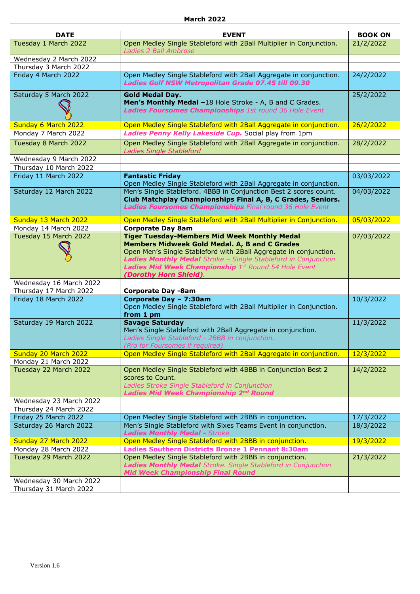| <b>DATE</b>                                    | <b>EVENT</b>                                                                                          | <b>BOOK ON</b> |
|------------------------------------------------|-------------------------------------------------------------------------------------------------------|----------------|
| Tuesday 1 March 2022                           | Open Medley Single Stableford with 2Ball Multiplier in Conjunction.                                   | 21/2/2022      |
|                                                | Ladies 2 Ball Ambrose                                                                                 |                |
| Wednesday 2 March 2022                         |                                                                                                       |                |
| Thursday 3 March 2022                          |                                                                                                       |                |
| Friday 4 March 2022                            | Open Medley Single Stableford with 2Ball Aggregate in conjunction.                                    | 24/2/2022      |
|                                                | Ladies Golf NSW Metropolitan Grade 07.45 till 09.30                                                   |                |
| Saturday 5 March 2022                          | <b>Gold Medal Day.</b>                                                                                | 25/2/2022      |
|                                                | Men's Monthly Medal -18 Hole Stroke - A, B and C Grades.                                              |                |
|                                                | Ladies Foursomes Championships 1st round 36 Hole Event                                                |                |
| Sunday 6 March 2022                            | Open Medley Single Stableford with 2Ball Aggregate in conjunction.                                    | 26/2/2022      |
| Monday 7 March 2022                            | Ladies Penny Kelly Lakeside Cup. Social play from 1pm                                                 |                |
|                                                |                                                                                                       |                |
| Tuesday 8 March 2022                           | Open Medley Single Stableford with 2Ball Aggregate in conjunction.<br><b>Ladies Single Stableford</b> | 28/2/2022      |
| Wednesday 9 March 2022                         |                                                                                                       |                |
| Thursday 10 March 2022                         |                                                                                                       |                |
| Friday 11 March 2022                           | <b>Fantastic Friday</b>                                                                               | 03/03/2022     |
|                                                | Open Medley Single Stableford with 2Ball Aggregate in conjunction.                                    |                |
| Saturday 12 March 2022                         | Men's Single Stableford. 4BBB in Conjunction Best 2 scores count.                                     | 04/03/2022     |
|                                                | Club Matchplay Championships Final A, B, C Grades, Seniors.                                           |                |
|                                                | Ladies Foursomes Championships Final round 36 Hole Event                                              |                |
| Sunday 13 March 2022                           | Open Medley Single Stableford with 2Ball Multiplier in Conjunction.                                   | 05/03/2022     |
| Monday 14 March 2022                           | <b>Corporate Day 8am</b>                                                                              |                |
| Tuesday 15 March 2022                          | <b>Tiger Tuesday-Members Mid Week Monthly Medal</b>                                                   | 07/03/2022     |
|                                                | Members Midweek Gold Medal. A, B and C Grades                                                         |                |
|                                                | Open Men's Single Stableford with 2Ball Aggregate in conjunction.                                     |                |
|                                                | Ladies Monthly Medal Stroke - Single Stableford in Conjunction                                        |                |
|                                                | Ladies Mid Week Championship 1st Round 54 Hole Event                                                  |                |
|                                                | (Dorothy Horn Shield).                                                                                |                |
| Wednesday 16 March 2022                        |                                                                                                       |                |
| Thursday 17 March 2022<br>Friday 18 March 2022 | <b>Corporate Day -8am</b><br>Corporate Day - 7:30am                                                   | 10/3/2022      |
|                                                | Open Medley Single Stableford with 2Ball Multiplier in Conjunction.                                   |                |
|                                                | from 1 pm                                                                                             |                |
| Saturday 19 March 2022                         | <b>Savage Saturday</b>                                                                                | 11/3/2022      |
|                                                | Men's Single Stableford with 2Ball Aggregate in conjunction.                                          |                |
|                                                | Ladies Single Stableford - 2BBB in conjunction.                                                       |                |
|                                                | (P/o for Foursomes if required)                                                                       |                |
| Sunday 20 March 2022                           | Open Medley Single Stableford with 2Ball Aggregate in conjunction.                                    | 12/3/2022      |
| Monday 21 March 2022<br>Tuesday 22 March 2022  | Open Medley Single Stableford with 4BBB in Conjunction Best 2                                         | 14/2/2022      |
|                                                | scores to Count.                                                                                      |                |
|                                                | Ladies Stroke Single Stableford in Conjunction                                                        |                |
|                                                | Ladies Mid Week Championship 2nd Round                                                                |                |
| Wednesday 23 March 2022                        |                                                                                                       |                |
| Thursday 24 March 2022                         |                                                                                                       |                |
| Friday 25 March 2022                           | Open Medley Single Stableford with 2BBB in conjunction.                                               | 17/3/2022      |
| Saturday 26 March 2022                         | Men's Single Stableford with Sixes Teams Event in conjunction.                                        | 18/3/2022      |
|                                                | <b>Ladies Monthly Medal - Stroke</b>                                                                  |                |
| Sunday 27 March 2022                           | Open Medley Single Stableford with 2BBB in conjunction.                                               | 19/3/2022      |
| Monday 28 March 2022                           | Ladies Southern Districts Bronze 1 Pennant 8:30am                                                     |                |
| Tuesday 29 March 2022                          | Open Medley Single Stableford with 2BBB in conjunction.                                               | 21/3/2022      |
|                                                | Ladies Monthly Medal Stroke. Single Stableford in Conjunction                                         |                |
|                                                | <b>Mid Week Championship Final Round</b>                                                              |                |
| Wednesday 30 March 2022                        |                                                                                                       |                |
| Thursday 31 March 2022                         |                                                                                                       |                |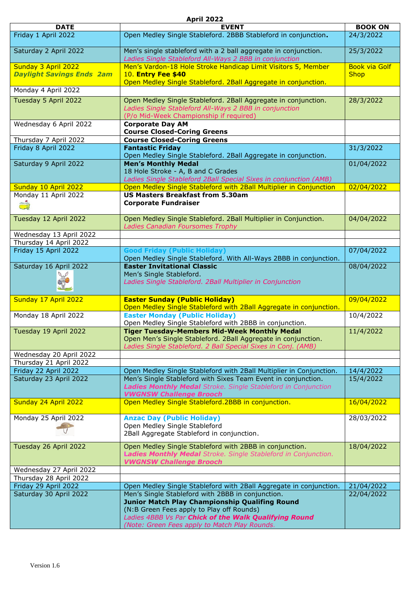|  |  | <b>April 2022</b> |
|--|--|-------------------|
|  |  |                   |

| <b>DATE</b>                      | <b>EVENT</b>                                                                                                                                                                                                                                               | <b>BOOK ON</b>       |
|----------------------------------|------------------------------------------------------------------------------------------------------------------------------------------------------------------------------------------------------------------------------------------------------------|----------------------|
| Friday 1 April 2022              | Open Medley Single Stableford. 2BBB Stableford in conjunction.                                                                                                                                                                                             | 24/3/2022            |
| Saturday 2 April 2022            | Men's single stableford with a 2 ball aggregate in conjunction.<br>Ladies Single Stableford All-Ways 2 BBB in conjunction                                                                                                                                  | 25/3/2022            |
| Sunday 3 April 2022              | Men's Vardon-18 Hole Stroke Handicap Limit Visitors 5, Member                                                                                                                                                                                              | <b>Book via Golf</b> |
| <b>Daylight Savings Ends 2am</b> | <b>10. Entry Fee \$40</b><br>Open Medley Single Stableford. 2Ball Aggregate in conjunction.                                                                                                                                                                | <b>Shop</b>          |
| Monday 4 April 2022              |                                                                                                                                                                                                                                                            |                      |
| Tuesday 5 April 2022             | Open Medley Single Stableford. 2Ball Aggregate in conjunction.                                                                                                                                                                                             | 28/3/2022            |
|                                  | Ladies Single Stableford All-Ways 2 BBB in conjunction<br>(P/o Mid-Week Championship if required)                                                                                                                                                          |                      |
| Wednesday 6 April 2022           | <b>Corporate Day AM</b>                                                                                                                                                                                                                                    |                      |
| Thursday 7 April 2022            | <b>Course Closed-Coring Greens</b><br><b>Course Closed-Coring Greens</b>                                                                                                                                                                                   |                      |
| Friday 8 April 2022              | <b>Fantastic Friday</b>                                                                                                                                                                                                                                    | 31/3/2022            |
|                                  | Open Medley Single Stableford. 2Ball Aggregate in conjunction.                                                                                                                                                                                             |                      |
| Saturday 9 April 2022            | <b>Men's Monthly Medal</b>                                                                                                                                                                                                                                 | 01/04/2022           |
|                                  | 18 Hole Stroke - A, B and C Grades<br>Ladies Single Stableford 2Ball Special Sixes in conjunction (AMB)                                                                                                                                                    |                      |
| Sunday 10 April 2022             | Open Medley Single Stableford with 2Ball Multiplier in Conjunction                                                                                                                                                                                         | 02/04/2022           |
| Monday 11 April 2022             | <b>US Masters Breakfast from 5.30am</b>                                                                                                                                                                                                                    |                      |
| $\overline{\mathbb{C}}$          | <b>Corporate Fundraiser</b>                                                                                                                                                                                                                                |                      |
| Tuesday 12 April 2022            | Open Medley Single Stableford. 2Ball Multiplier in Conjunction.<br>Ladies Canadian Foursomes Trophy                                                                                                                                                        | 04/04/2022           |
| Wednesday 13 April 2022          |                                                                                                                                                                                                                                                            |                      |
| Thursday 14 April 2022           |                                                                                                                                                                                                                                                            |                      |
| Friday 15 April 2022             | <b>Good Friday (Public Holiday)</b><br>Open Medley Single Stableford. With All-Ways 2BBB in conjunction.                                                                                                                                                   | 07/04/2022           |
| Saturday 16 April 2022           | <b>Easter Invitational Classic</b>                                                                                                                                                                                                                         | 08/04/2022           |
|                                  | Men's Single Stableford.<br>Ladies Single Stableford. 2Ball Multiplier in Conjunction                                                                                                                                                                      |                      |
| Sunday 17 April 2022             | <b>Easter Sunday (Public Holiday)</b><br>Open Medley Single Stableford with 2Ball Aggregate in conjunction.                                                                                                                                                | 09/04/2022           |
| Monday 18 April 2022             | <b>Easter Monday (Public Holiday)</b><br>Open Medley Single Stableford with 2BBB in conjunction.                                                                                                                                                           | 10/4/2022            |
| Tuesday 19 April 2022            | <b>Tiger Tuesday-Members Mid-Week Monthly Medal</b>                                                                                                                                                                                                        | 11/4/2022            |
|                                  | Open Men's Single Stableford. 2Ball Aggregate in conjunction.<br>Ladies Single Stableford. 2 Ball Special Sixes in Conj. (AMB)                                                                                                                             |                      |
| Wednesday 20 April 2022          |                                                                                                                                                                                                                                                            |                      |
| Thursday 21 April 2022           |                                                                                                                                                                                                                                                            |                      |
| Friday 22 April 2022             | Open Medley Single Stableford with 2Ball Multiplier in Conjunction.                                                                                                                                                                                        | 14/4/2022            |
| Saturday 23 April 2022           | Men's Single Stableford with Sixes Team Event in conjunction.<br>Ladies Monthly Medal Stroke. Single Stableford in Conjunction<br><b>VWGNSW Challenge Brooch</b>                                                                                           | 15/4/2022            |
| Sunday 24 April 2022             | Open Medley Single Stableford.2BBB in conjunction.                                                                                                                                                                                                         | 16/04/2022           |
| Monday 25 April 2022             | <b>Anzac Day (Public Holiday)</b>                                                                                                                                                                                                                          | 28/03/2022           |
|                                  | Open Medley Single Stableford                                                                                                                                                                                                                              |                      |
|                                  | 2Ball Aggregate Stableford in conjunction.                                                                                                                                                                                                                 |                      |
| Tuesday 26 April 2022            | Open Medley Single Stableford with 2BBB in conjunction.<br>Ladies Monthly Medal Stroke. Single Stableford in Conjunction.<br><b>VWGNSW Challenge Brooch</b>                                                                                                | 18/04/2022           |
| Wednesday 27 April 2022          |                                                                                                                                                                                                                                                            |                      |
| Thursday 28 April 2022           |                                                                                                                                                                                                                                                            |                      |
| Friday 29 April 2022             | Open Medley Single Stableford with 2Ball Aggregate in conjunction.                                                                                                                                                                                         | 21/04/2022           |
| Saturday 30 April 2022           | Men's Single Stableford with 2BBB in conjunction.<br>Junior Match Play Championship Qualifing Round<br>(N:B Green Fees apply to Play off Rounds)<br>Ladies 4BBB Vs Par Chick of the Walk Qualifying Round<br>(Note: Green Fees apply to Match Play Rounds. | 22/04/2022           |
|                                  |                                                                                                                                                                                                                                                            |                      |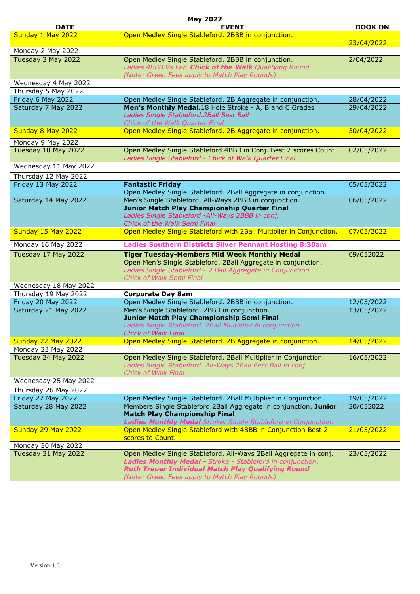|                       | <b>May 2022</b>                                                                                                                                                                                                                              |                |
|-----------------------|----------------------------------------------------------------------------------------------------------------------------------------------------------------------------------------------------------------------------------------------|----------------|
| <b>DATE</b>           | <b>EVENT</b>                                                                                                                                                                                                                                 | <b>BOOK ON</b> |
| Sunday 1 May 2022     | Open Medley Single Stableford. 2BBB in conjunction.                                                                                                                                                                                          |                |
|                       |                                                                                                                                                                                                                                              | 23/04/2022     |
| Monday 2 May 2022     |                                                                                                                                                                                                                                              |                |
| Tuesday 3 May 2022    | Open Medley Single Stableford. 2BBB in conjunction.<br>Ladies 4BBB Vs Par. Chick of the Walk Qualifying Round<br>(Note: Green Fees apply to Match Play Rounds)                                                                               | 2/04/2022      |
| Wednesday 4 May 2022  |                                                                                                                                                                                                                                              |                |
| Thursday 5 May 2022   |                                                                                                                                                                                                                                              |                |
| Friday 6 May 2022     | Open Medley Single Stableford. 2B Aggregate in conjunction.                                                                                                                                                                                  | 28/04/2022     |
| Saturday 7 May 2022   | Men's Monthly Medal.18 Hole Stroke - A, B and C Grades<br>Ladies Single Stableford. 2Ball Best Ball<br>Chick of the Walk Quarter Final                                                                                                       | 29/04/2022     |
| Sunday 8 May 2022     | Open Medley Single Stableford. 2B Aggregate in conjunction.                                                                                                                                                                                  | 30/04/2022     |
| Monday 9 May 2022     |                                                                                                                                                                                                                                              |                |
| Tuesday 10 May 2022   | Open Medley Single Stableford. 4BBB in Conj. Best 2 scores Count.<br>Ladies Single Stableford - Chick of Walk Quarter Final                                                                                                                  | 02/05/2022     |
| Wednesday 11 May 2022 |                                                                                                                                                                                                                                              |                |
| Thursday 12 May 2022  |                                                                                                                                                                                                                                              |                |
| Friday 13 May 2022    | <b>Fantastic Friday</b>                                                                                                                                                                                                                      | 05/05/2022     |
|                       | Open Medley Single Stableford. 2Ball Aggregate in conjunction.                                                                                                                                                                               |                |
| Saturday 14 May 2022  | Men's Single Stableford. All-Ways 2BBB in conjunction.<br>Junior Match Play Championship Quarter Final<br>Ladies Single Stableford -All-Ways 2BBB in conj.<br>Chick of the Walk Semi Final                                                   | 06/05/2022     |
| Sunday 15 May 2022    | Open Medley Single Stableford with 2Ball Multiplier in Conjunction.                                                                                                                                                                          | 07/05/2022     |
| Monday 16 May 2022    | <b>Ladies Southern Districts Silver Pennant Hosting 8:30am</b>                                                                                                                                                                               |                |
| Tuesday 17 May 2022   | <b>Tiger Tuesday-Members Mid Week Monthly Medal</b><br>Open Men's Single Stableford. 2Ball Aggregate in conjunction.<br>Ladies Single Stableford - 2 Ball Aggregate in Conjunction<br>Chick of Walk Semi Final                               | 09/052022      |
| Wednesday 18 May 2022 |                                                                                                                                                                                                                                              |                |
| Thursday 19 May 2022  | <b>Corporate Day 8am</b>                                                                                                                                                                                                                     |                |
| Friday 20 May 2022    | Open Medley Single Stableford. 2BBB in conjunction.                                                                                                                                                                                          | 12/05/2022     |
| Saturday 21 May 2022  | Men's Single Stableford. 2BBB in conjunction.<br>Junior Match Play Championship Semi Final<br>Ladies Single Stableford. 2Ball Multiplier in conjunction.<br><b>Chick of Walk Final</b>                                                       | 13/05/2022     |
| Sunday 22 May 2022    | Open Medley Single Stableford. 2B Aggregate in conjunction.                                                                                                                                                                                  | 14/05/2022     |
| Monday 23 May 2022    |                                                                                                                                                                                                                                              |                |
| Tuesday 24 May 2022   | Open Medley Single Stableford. 2Ball Multiplier in Conjunction.<br>Ladies Single Stableford. All-Ways 2Ball Best Ball in conj.<br><b>Chick of Walk Final</b>                                                                                 | 16/05/2022     |
| Wednesday 25 May 2022 |                                                                                                                                                                                                                                              |                |
| Thursday 26 May 2022  |                                                                                                                                                                                                                                              |                |
| Friday 27 May 2022    | Open Medley Single Stableford. 2Ball Multiplier in Conjunction.                                                                                                                                                                              | 19/05/2022     |
| Saturday 28 May 2022  | Members Single Stableford. 2Ball Aggregate in conjunction. Junior<br><b>Match Play Championship Final</b><br>Ladies Monthly Medal Stroke. Single Stableford in Conjunction.                                                                  | 20/052022      |
| Sunday 29 May 2022    | Open Medley Single Stableford with 4BBB in Conjunction Best 2<br>scores to Count.                                                                                                                                                            | 21/05/2022     |
| Monday 30 May 2022    |                                                                                                                                                                                                                                              |                |
| Tuesday 31 May 2022   | Open Medley Single Stableford. All-Ways 2Ball Aggregate in conj.<br>Ladies Monthly Medal - Stroke - Stableford in conjunction.<br><b>Ruth Treuer Individual Match Play Qualifying Round</b><br>(Note: Green Fees apply to Match Play Rounds) | 23/05/2022     |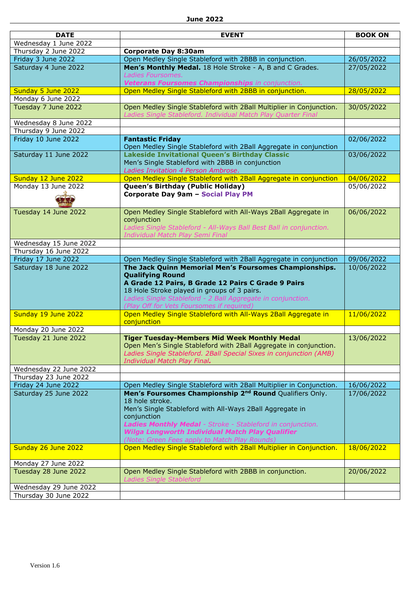| <b>DATE</b>            | <b>EVENT</b>                                                            | <b>BOOK ON</b> |
|------------------------|-------------------------------------------------------------------------|----------------|
| Wednesday 1 June 2022  |                                                                         |                |
| Thursday 2 June 2022   | <b>Corporate Day 8:30am</b>                                             |                |
| Friday 3 June 2022     | Open Medley Single Stableford with 2BBB in conjunction.                 | 26/05/2022     |
| Saturday 4 June 2022   | Men's Monthly Medal. 18 Hole Stroke - A, B and C Grades.                | 27/05/2022     |
|                        | Ladies Foursomes.                                                       |                |
|                        | Veterans Foursomes Championships in conjunction.                        |                |
| Sunday 5 June 2022     | Open Medley Single Stableford with 2BBB in conjunction.                 | 28/05/2022     |
| Monday 6 June 2022     |                                                                         |                |
| Tuesday 7 June 2022    | Open Medley Single Stableford with 2Ball Multiplier in Conjunction.     | 30/05/2022     |
|                        | Ladies Single Stableford. Individual Match Play Quarter Final           |                |
| Wednesday 8 June 2022  |                                                                         |                |
| Thursday 9 June 2022   |                                                                         |                |
| Friday 10 June 2022    | <b>Fantastic Friday</b>                                                 | 02/06/2022     |
|                        | Open Medley Single Stableford with 2Ball Aggregate in conjunction       |                |
| Saturday 11 June 2022  | Lakeside Invitational Queen's Birthday Classic                          | 03/06/2022     |
|                        | Men's Single Stableford with 2BBB in conjunction                        |                |
|                        | Ladies Invitation 4 Person Ambrose.                                     |                |
| Sunday 12 June 2022    | Open Medley Single Stableford with 2Ball Aggregate in conjunction       | 04/06/2022     |
| Monday 13 June 2022    | Queen's Birthday (Public Holiday)                                       | 05/06/2022     |
|                        | Corporate Day 9am - Social Play PM                                      |                |
|                        |                                                                         |                |
| Tuesday 14 June 2022   | Open Medley Single Stableford with All-Ways 2Ball Aggregate in          | 06/06/2022     |
|                        | conjunction                                                             |                |
|                        | Ladies Single Stableford - All-Ways Ball Best Ball in conjunction.      |                |
|                        | Individual Match Play Semi Final                                        |                |
| Wednesday 15 June 2022 |                                                                         |                |
| Thursday 16 June 2022  |                                                                         |                |
| Friday 17 June 2022    | Open Medley Single Stableford with 2Ball Aggregate in conjunction       | 09/06/2022     |
| Saturday 18 June 2022  | The Jack Quinn Memorial Men's Foursomes Championships.                  | 10/06/2022     |
|                        | <b>Qualifying Round</b>                                                 |                |
|                        | A Grade 12 Pairs, B Grade 12 Pairs C Grade 9 Pairs                      |                |
|                        | 18 Hole Stroke played in groups of 3 pairs.                             |                |
|                        | Ladies Single Stableford - 2 Ball Aggregate in conjunction.             |                |
|                        | (Play Off for Vets Foursomes if required)                               |                |
| Sunday 19 June 2022    | Open Medley Single Stableford with All-Ways 2Ball Aggregate in          | 11/06/2022     |
|                        | conjunction                                                             |                |
| Monday 20 June 2022    |                                                                         |                |
| Tuesday 21 June 2022   | <b>Tiger Tuesday-Members Mid Week Monthly Medal</b>                     | 13/06/2022     |
|                        | Open Men's Single Stableford with 2Ball Aggregate in conjunction.       |                |
|                        | Ladies Single Stableford. 2Ball Special Sixes in conjunction (AMB)      |                |
|                        | Individual Match Play Final.                                            |                |
| Wednesday 22 June 2022 |                                                                         |                |
| Thursday 23 June 2022  |                                                                         |                |
| Friday 24 June 2022    | Open Medley Single Stableford with 2Ball Multiplier in Conjunction.     | 16/06/2022     |
| Saturday 25 June 2022  | Men's Foursomes Championship 2 <sup>nd</sup> Round Qualifiers Only.     | 17/06/2022     |
|                        | 18 hole stroke.                                                         |                |
|                        | Men's Single Stableford with All-Ways 2Ball Aggregate in<br>conjunction |                |
|                        | Ladies Monthly Medal - Stroke - Stableford in conjunction.              |                |
|                        | <b>Wilga Longworth Individual Match Play Qualifier</b>                  |                |
|                        | (Note: Green Fees apply to Match Play Rounds)                           |                |
| Sunday 26 June 2022    | Open Medley Single Stableford with 2Ball Multiplier in Conjunction.     | 18/06/2022     |
|                        |                                                                         |                |
| Monday 27 June 2022    |                                                                         |                |
| Tuesday 28 June 2022   | Open Medley Single Stableford with 2BBB in conjunction.                 | 20/06/2022     |
|                        | <b>Ladies Single Stableford</b>                                         |                |
| Wednesday 29 June 2022 |                                                                         |                |
| Thursday 30 June 2022  |                                                                         |                |
|                        |                                                                         |                |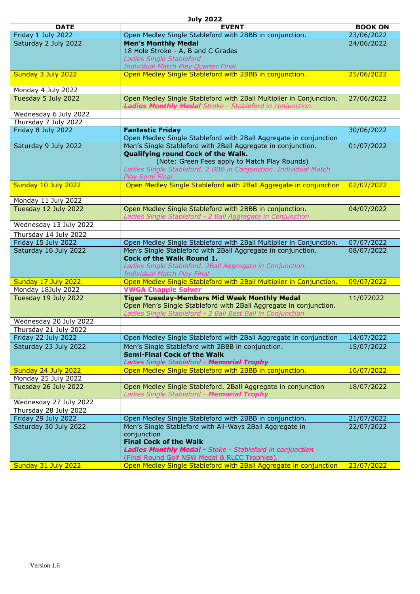#### **July 2022**

|                                                 | JUIY ZUZZ                                                                                                                         |                          |
|-------------------------------------------------|-----------------------------------------------------------------------------------------------------------------------------------|--------------------------|
| <b>DATE</b>                                     | <b>EVENT</b>                                                                                                                      | <b>BOOK ON</b>           |
| Friday 1 July 2022                              | Open Medley Single Stableford with 2BBB in conjunction.                                                                           | 23/06/2022               |
| Saturday 2 July 2022                            | <b>Men's Monthly Medal</b>                                                                                                        | 24/06/2022               |
|                                                 | 18 Hole Stroke - A, B and C Grades                                                                                                |                          |
|                                                 | <b>Ladies Single Stableford</b><br>Individual Match Play Quarter Final                                                            |                          |
| Sunday 3 July 2022                              | Open Medley Single Stableford with 2BBB in conjunction.                                                                           | 25/06/2022               |
|                                                 |                                                                                                                                   |                          |
| Monday 4 July 2022                              |                                                                                                                                   |                          |
| Tuesday 5 July 2022                             | Open Medley Single Stableford with 2Ball Multiplier in Conjunction.                                                               | 27/06/2022               |
|                                                 | Ladies Monthly Medal Stroke - Stableford in conjunction.                                                                          |                          |
| Wednesday 6 July 2022                           |                                                                                                                                   |                          |
| Thursday 7 July 2022                            |                                                                                                                                   |                          |
| Friday 8 July 2022                              | <b>Fantastic Friday</b>                                                                                                           | 30/06/2022               |
| Saturday 9 July 2022                            | Open Medley Single Stableford with 2Ball Aggregate in conjunction<br>Men's Single Stableford with 2Ball Aggregate in conjunction. | 01/07/2022               |
|                                                 | Qualifying round Cock of the Walk.                                                                                                |                          |
|                                                 | (Note: Green Fees apply to Match Play Rounds)                                                                                     |                          |
|                                                 | Ladies Single Stableford. 2 BBB in Conjunction. Individual Match                                                                  |                          |
|                                                 | <b>Play Semi Final</b>                                                                                                            |                          |
| Sunday 10 July 2022                             | Open Medley Single Stableford with 2Ball Aggregate in conjunction                                                                 | 02/07/2022               |
|                                                 |                                                                                                                                   |                          |
| Monday 11 July 2022                             |                                                                                                                                   |                          |
| Tuesday 12 July 2022                            | Open Medley Single Stableford with 2BBB in conjunction.<br>Ladies Single Stableford - 2 Ball Aggregate in Conjunction             | 04/07/2022               |
| Wednesday 13 July 2022                          |                                                                                                                                   |                          |
|                                                 |                                                                                                                                   |                          |
| Thursday 14 July 2022<br>Friday 15 July 2022    | Open Medley Single Stableford with 2Ball Multiplier in Conjunction.                                                               | 07/07/2022               |
| Saturday 16 July 2022                           | Men's Single Stableford with 2Ball Aggregate in conjunction.                                                                      | 08/07/2022               |
|                                                 | Cock of the Walk Round 1.                                                                                                         |                          |
|                                                 | Ladies Single Stableford. 2Ball Aggregate in Conjunction.                                                                         |                          |
|                                                 | Individual Match Play Final                                                                                                       |                          |
| Sunday 17 July 2022                             | Open Medley Single Stableford with 2Ball Multiplier in Conjunction.                                                               | 09/07/2022               |
| Monday 18July 2022                              | <b>VWGA Chapple Salver</b>                                                                                                        |                          |
| Tuesday 19 July 2022                            | <b>Tiger Tuesday-Members Mid Week Monthly Medal</b>                                                                               | 11/072022                |
|                                                 | Open Men's Single Stableford with 2Ball Aggregate in conjunction.                                                                 |                          |
|                                                 | Ladies Single Stableford - 2 Ball Best Ball in Conjunction                                                                        |                          |
| Wednesday 20 July 2022<br>Thursday 21 July 2022 |                                                                                                                                   |                          |
| Friday 22 July 2022                             | Open Medley Single Stableford with 2Ball Aggregate in conjunction                                                                 | 14/07/2022               |
| Saturday 23 July 2022                           | Men's Single Stableford with 2BBB in conjunction.                                                                                 | 15/07/2022               |
|                                                 | <b>Semi-Final Cock of the Walk</b>                                                                                                |                          |
|                                                 | Ladies Single Stableford - Memorial Trophy                                                                                        |                          |
| Sunday 24 July 2022                             | Open Medley Single Stableford with 2BBB in conjunction.                                                                           | 16/07/2022               |
| Monday 25 July 2022                             |                                                                                                                                   |                          |
| Tuesday 26 July 2022                            | Open Medley Single Stableford. 2Ball Aggregate in conjunction                                                                     | 18/07/2022               |
|                                                 | Ladies Single Stableford - Memorial Trophy                                                                                        |                          |
| Wednesday 27 July 2022                          |                                                                                                                                   |                          |
| Thursday 28 July 2022<br>Friday 29 July 2022    | Open Medley Single Stableford with 2BBB in conjunction.                                                                           |                          |
| Saturday 30 July 2022                           | Men's Single Stableford with All-Ways 2Ball Aggregate in                                                                          | 21/07/2022<br>22/07/2022 |
|                                                 | conjunction                                                                                                                       |                          |
|                                                 | <b>Final Cock of the Walk</b>                                                                                                     |                          |
|                                                 | Ladies Monthly Medal - Stoke - Stableford in conjunction                                                                          |                          |
|                                                 | (Final Round Golf NSW Medal & RLCC Trophies).                                                                                     |                          |
| Sunday 31 July 2022                             | Open Medley Single Stableford with 2Ball Aggregate in conjunction                                                                 | 23/07/2022               |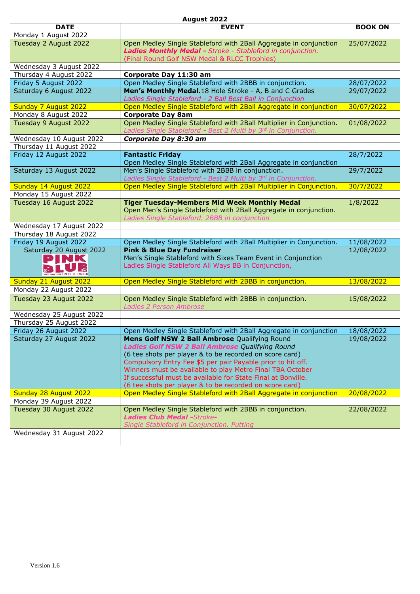#### **August 2022**

| <b>DATE</b>                 | <b>EVENT</b>                                                                                                             | <b>BOOK ON</b> |
|-----------------------------|--------------------------------------------------------------------------------------------------------------------------|----------------|
| Monday 1 August 2022        |                                                                                                                          |                |
| Tuesday 2 August 2022       | Open Medley Single Stableford with 2Ball Aggregate in conjunction                                                        | 25/07/2022     |
|                             | Ladies Monthly Medal - Stroke - Stableford in conjunction.                                                               |                |
|                             | (Final Round Golf NSW Medal & RLCC Trophies)                                                                             |                |
| Wednesday 3 August 2022     |                                                                                                                          |                |
| Thursday 4 August 2022      | Corporate Day 11:30 am                                                                                                   |                |
| Friday 5 August 2022        | Open Medley Single Stableford with 2BBB in conjunction.                                                                  | 28/07/2022     |
| Saturday 6 August 2022      | Men's Monthly Medal.18 Hole Stroke - A, B and C Grades<br>Ladies Single Stableford - 2 Ball Best Ball in Conjunction     | 29/07/2022     |
| <b>Sunday 7 August 2022</b> | Open Medley Single Stableford with 2Ball Aggregate in conjunction                                                        | 30/07/2022     |
| Monday 8 August 2022        | <b>Corporate Day 8am</b>                                                                                                 |                |
| Tuesday 9 August 2022       | Open Medley Single Stableford with 2Ball Multiplier in Conjunction.                                                      | 01/08/2022     |
|                             | Ladies Single Stableford - Best 2 Multi by 3rd in Conjunction.                                                           |                |
| Wednesday 10 August 2022    | Corporate Day 8:30 am                                                                                                    |                |
| Thursday 11 August 2022     |                                                                                                                          |                |
| Friday 12 August 2022       | <b>Fantastic Friday</b>                                                                                                  | 28/7/2022      |
|                             | Open Medley Single Stableford with 2Ball Aggregate in conjunction                                                        |                |
| Saturday 13 August 2022     | Men's Single Stableford with 2BBB in conjunction.                                                                        | 29/7/2022      |
|                             | Ladies Single Stableford - Best 2 Multi by 3rd in Conjunction.                                                           |                |
| Sunday 14 August 2022       | Open Medley Single Stableford with 2Ball Multiplier in Conjunction.                                                      | 30/7/2022      |
| Monday 15 August 2022       |                                                                                                                          |                |
| Tuesday 16 August 2022      | <b>Tiger Tuesday-Members Mid Week Monthly Medal</b>                                                                      | 1/8/2022       |
|                             | Open Men's Single Stableford with 2Ball Aggregate in conjunction.<br>Ladies Single Stableford. 2BBB in conjunction       |                |
| Wednesday 17 August 2022    |                                                                                                                          |                |
| Thursday 18 August 2022     |                                                                                                                          |                |
| Friday 19 August 2022       | Open Medley Single Stableford with 2Ball Multiplier in Conjunction.                                                      | 11/08/2022     |
| Saturday 20 August 2022     | <b>Pink &amp; Blue Day Fundraiser</b>                                                                                    | 12/08/2022     |
| PINK                        | Men's Single Stableford with Sixes Team Event in Conjunction                                                             |                |
|                             | Ladies Single Stableford All Ways BB in Conjunction,                                                                     |                |
| AKESINE GOLF CLUB + CAMDEN  |                                                                                                                          |                |
| Sunday 21 August 2022       | Open Medley Single Stableford with 2BBB in conjunction.                                                                  | 13/08/2022     |
| Monday 22 August 2022       |                                                                                                                          |                |
| Tuesday 23 August 2022      | Open Medley Single Stableford with 2BBB in conjunction.                                                                  | 15/08/2022     |
|                             | <b>Ladies 2 Person Ambrose</b>                                                                                           |                |
| Wednesday 25 August 2022    |                                                                                                                          |                |
| Thursday 25 August 2022     |                                                                                                                          |                |
| Friday 26 August 2022       | Open Medley Single Stableford with 2Ball Aggregate in conjunction                                                        | 18/08/2022     |
| Saturday 27 August 2022     | Mens Golf NSW 2 Ball Ambrose Qualifying Round                                                                            | 19/08/2022     |
|                             | Ladies Golf NSW 2 Ball Ambrose Qualifying Round                                                                          |                |
|                             | (6 tee shots per player & to be recorded on score card)                                                                  |                |
|                             | Compulsory Entry Fee \$5 per pair Payable prior to hit off.<br>Winners must be available to play Metro Final TBA October |                |
|                             | If successful must be available for State Final at Bonville.                                                             |                |
|                             | (6 tee shots per player & to be recorded on score card)                                                                  |                |
| Sunday 28 August 2022       | Open Medley Single Stableford with 2Ball Aggregate in conjunction                                                        | 20/08/2022     |
| Monday 39 August 2022       |                                                                                                                          |                |
| Tuesday 30 August 2022      | Open Medley Single Stableford with 2BBB in conjunction.                                                                  | 22/08/2022     |
|                             | <b>Ladies Club Medal - Stroke-</b>                                                                                       |                |
|                             | Single Stableford in Conjunction. Putting                                                                                |                |
| Wednesday 31 August 2022    |                                                                                                                          |                |
|                             |                                                                                                                          |                |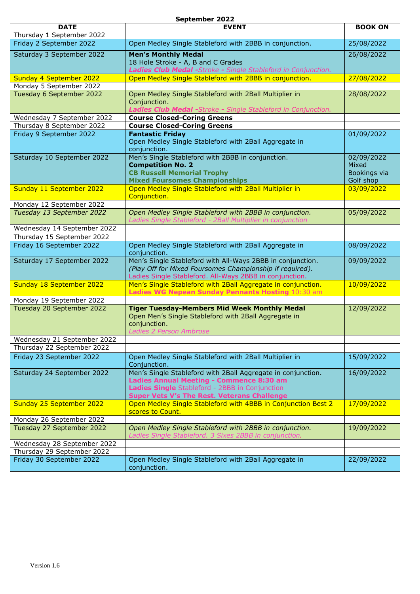#### **September 2022**

| <b>DATE</b><br><b>EVENT</b>                                                                                                                        | <b>BOOK ON</b> |
|----------------------------------------------------------------------------------------------------------------------------------------------------|----------------|
| Thursday 1 September 2022                                                                                                                          |                |
| Friday 2 September 2022<br>Open Medley Single Stableford with 2BBB in conjunction.                                                                 | 25/08/2022     |
| Saturday 3 September 2022<br><b>Men's Monthly Medal</b>                                                                                            | 26/08/2022     |
| 18 Hole Stroke - A, B and C Grades                                                                                                                 |                |
| Ladies Club Medal -Stroke - Single Stableford in Conjunction.                                                                                      |                |
| Open Medley Single Stableford with 2BBB in conjunction.<br>Sunday 4 September 2022                                                                 | 27/08/2022     |
| Monday 5 September 2022<br>Open Medley Single Stableford with 2Ball Multiplier in<br>Tuesday 6 September 2022                                      | 28/08/2022     |
| Conjunction.                                                                                                                                       |                |
| Ladies Club Medal -Stroke - Single Stableford in Conjunction.                                                                                      |                |
| Wednesday 7 September 2022<br><b>Course Closed-Coring Greens</b>                                                                                   |                |
| Thursday 8 September 2022<br><b>Course Closed-Coring Greens</b>                                                                                    |                |
| Friday 9 September 2022<br><b>Fantastic Friday</b>                                                                                                 | 01/09/2022     |
| Open Medley Single Stableford with 2Ball Aggregate in                                                                                              |                |
| conjunction.<br>Men's Single Stableford with 2BBB in conjunction.<br>Saturday 10 September 2022                                                    | 02/09/2022     |
| <b>Competition No. 2</b>                                                                                                                           | Mixed          |
| <b>CB Russell Memorial Trophy</b>                                                                                                                  | Bookings via   |
| <b>Mixed Foursomes Championships</b>                                                                                                               | Golf shop      |
| Open Medley Single Stableford with 2Ball Multiplier in<br>Sunday 11 September 2022                                                                 | 03/09/2022     |
| Conjunction.                                                                                                                                       |                |
| Monday 12 September 2022                                                                                                                           |                |
| Open Medley Single Stableford with 2BBB in conjunction.<br>Tuesday 13 September 2022<br>Ladies Single Stableford - 2Ball Multiplier in conjunction | 05/09/2022     |
| Wednesday 14 September 2022                                                                                                                        |                |
| Thursday 15 September 2022                                                                                                                         |                |
| Friday 16 September 2022<br>Open Medley Single Stableford with 2Ball Aggregate in                                                                  | 08/09/2022     |
| conjunction.                                                                                                                                       |                |
| Saturday 17 September 2022<br>Men's Single Stableford with All-Ways 2BBB in conjunction.                                                           | 09/09/2022     |
| (Play Off for Mixed Foursomes Championship if required).                                                                                           |                |
| Ladies Single Stableford. All-Ways 2BBB in conjunction.                                                                                            |                |
| Men's Single Stableford with 2Ball Aggregate in conjunction.<br>Sunday 18 September 2022<br>Ladies WG Nepean Sunday Pennants Hosting 10:30 am      | 10/09/2022     |
| Monday 19 September 2022                                                                                                                           |                |
| Tuesday 20 September 2022<br><b>Tiger Tuesday-Members Mid Week Monthly Medal</b>                                                                   | 12/09/2022     |
| Open Men's Single Stableford with 2Ball Aggregate in                                                                                               |                |
| conjunction.                                                                                                                                       |                |
| Ladies 2 Person Ambrose                                                                                                                            |                |
| Wednesday 21 September 2022<br>Thursday 22 September 2022                                                                                          |                |
| Friday 23 September 2022<br>Open Medley Single Stableford with 2Ball Multiplier in                                                                 | 15/09/2022     |
| Conjunction.                                                                                                                                       |                |
| Men's Single Stableford with 2Ball Aggregate in conjunction.<br>Saturday 24 September 2022                                                         | 16/09/2022     |
| Ladies Annual Meeting - Commence 8:30 am                                                                                                           |                |
| Ladies Single Stableford - 2BBB in Conjunction                                                                                                     |                |
| <b>Super Vets V's The Rest. Veterans Challenge</b><br>Open Medley Single Stableford with 4BBB in Conjunction Best 2                                |                |
| Sunday 25 September 2022<br>scores to Count.                                                                                                       | 17/09/2022     |
| Monday 26 September 2022                                                                                                                           |                |
| Tuesday 27 September 2022<br>Open Medley Single Stableford with 2BBB in conjunction.                                                               | 19/09/2022     |
| Ladies Single Stableford. 3 Sixes 2BBB in conjunction.                                                                                             |                |
| Wednesday 28 September 2022                                                                                                                        |                |
| Thursday 29 September 2022                                                                                                                         |                |
| Open Medley Single Stableford with 2Ball Aggregate in<br>Friday 30 September 2022                                                                  | 22/09/2022     |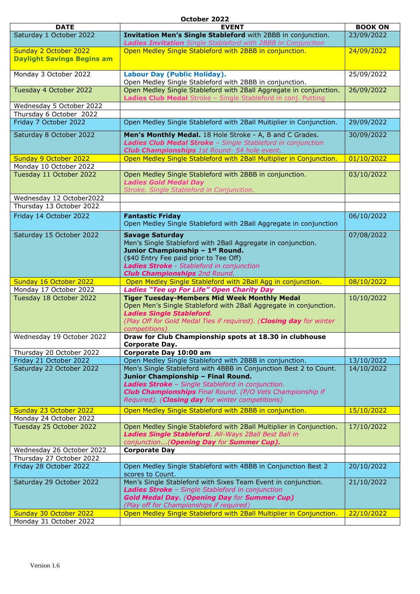#### **October 2022**

| <b>DATE</b>                                       | <b>EVENT</b>                                                                                                                         | <b>BOOK ON</b> |
|---------------------------------------------------|--------------------------------------------------------------------------------------------------------------------------------------|----------------|
| Saturday 1 October 2022                           | Invitation Men's Single Stableford with 2BBB in conjunction.                                                                         | 23/09/2022     |
| Sunday 2 October 2022                             | Ladies Invitation Single Stableford with 2BBB in Conjunction<br>Open Medley Single Stableford with 2BBB in conjunction.              | 24/09/2022     |
| <b>Daylight Savings Begins am</b>                 |                                                                                                                                      |                |
| Monday 3 October 2022                             | Labour Day (Public Holiday).<br>Open Medley Single Stableford with 2BBB in conjunction.                                              | 25/09/2022     |
| Tuesday 4 October 2022                            | Open Medley Single Stableford with 2Ball Aggregate in conjunction.<br>Ladies Club Medal Stroke - Single Stableford in conj. Putting  | 26/09/2022     |
| Wednesday 5 October 2022                          |                                                                                                                                      |                |
| Thursday 6 October 2022                           |                                                                                                                                      |                |
| Friday 7 October 2022                             | Open Medley Single Stableford with 2Ball Multiplier in Conjunction.                                                                  | 29/09/2022     |
| Saturday 8 October 2022                           | Men's Monthly Medal. 18 Hole Stroke - A, B and C Grades.                                                                             | 30/09/2022     |
|                                                   | Ladies Club Medal Stroke - Single Stableford in conjunction                                                                          |                |
|                                                   | <b>Club Championships</b> 1st Round- 54 hole event.                                                                                  |                |
| Sunday 9 October 2022                             | Open Medley Single Stableford with 2Ball Multiplier in Conjunction.                                                                  | 01/10/2022     |
| Monday 10 October 2022                            |                                                                                                                                      |                |
| Tuesday 11 October 2022                           | Open Medley Single Stableford with 2BBB in conjunction.<br><b>Ladies Gold Medal Day</b><br>Stroke. Single Stableford in Conjunction. | 03/10/2022     |
| Wednesday 12 October2022                          |                                                                                                                                      |                |
| Thursday 13 October 2022                          |                                                                                                                                      |                |
| Friday 14 October 2022                            | <b>Fantastic Friday</b>                                                                                                              | 06/10/2022     |
|                                                   | Open Medley Single Stableford with 2Ball Aggregate in conjunction                                                                    |                |
| Saturday 15 October 2022                          | <b>Savage Saturday</b>                                                                                                               | 07/08/2022     |
|                                                   | Men's Single Stableford with 2Ball Aggregate in conjunction.                                                                         |                |
|                                                   | Junior Championship - 1st Round.                                                                                                     |                |
|                                                   | (\$40 Entry Fee paid prior to Tee Off)                                                                                               |                |
|                                                   | Ladies Stroke - Stableford in conjunction<br><b>Club Championships</b> 2nd Round.                                                    |                |
| Sunday 16 October 2022                            | Open Medley Single Stableford with 2Ball Agg in conjunction.                                                                         | 08/10/2022     |
| Monday 17 October 2022                            | <b>Ladies "Tee up For Life" Open Charity Day</b>                                                                                     |                |
|                                                   |                                                                                                                                      |                |
|                                                   |                                                                                                                                      |                |
| Tuesday 18 October 2022                           | <b>Tiger Tuesday-Members Mid Week Monthly Medal</b>                                                                                  | 10/10/2022     |
|                                                   | Open Men's Single Stableford with 2Ball Aggregate in conjunction.<br><b>Ladies Single Stableford.</b>                                |                |
|                                                   | (Play Off for Gold Medal Ties if required). (Closing day for winter                                                                  |                |
|                                                   | competitions)                                                                                                                        |                |
| Wednesday 19 October 2022                         | Draw for Club Championship spots at 18.30 in clubhouse                                                                               |                |
|                                                   | Corporate Day.                                                                                                                       |                |
| Thursday 20 October 2022                          | Corporate Day 10:00 am                                                                                                               |                |
| Friday 21 October 2022                            | Open Medley Single Stableford with 2BBB in conjunction.                                                                              | 13/10/2022     |
| Saturday 22 October 2022                          | Men's Single Stableford with 4BBB in Conjunction Best 2 to Count.                                                                    | 14/10/2022     |
|                                                   | Junior Championship - Final Round.                                                                                                   |                |
|                                                   | Ladies Stroke - Single Stableford in conjunction.<br><b>Club Championships</b> Final Round. (P/O Vets Championship if                |                |
|                                                   | Required). (Closing day for winter competitions)                                                                                     |                |
|                                                   |                                                                                                                                      |                |
| Sunday 23 October 2022                            | Open Medley Single Stableford with 2BBB in conjunction.                                                                              | 15/10/2022     |
| Monday 24 October 2022<br>Tuesday 25 October 2022 | Open Medley Single Stableford with 2Ball Multiplier in Conjunction.                                                                  | 17/10/2022     |
|                                                   | Ladies Single Stableford. All-Ways 2Ball Best Ball in                                                                                |                |
|                                                   | conjunction (Opening Day for Summer Cup).                                                                                            |                |
| Wednesday 26 October 2022                         | <b>Corporate Day</b>                                                                                                                 |                |
| Thursday 27 October 2022                          |                                                                                                                                      |                |
| Friday 28 October 2022                            | Open Medley Single Stableford with 4BBB in Conjunction Best 2<br>scores to Count.                                                    | 20/10/2022     |
| Saturday 29 October 2022                          | Men's Single Stableford with Sixes Team Event in conjunction.                                                                        | 21/10/2022     |
|                                                   | Ladies Stroke - Single Stableford in conjunction                                                                                     |                |
|                                                   | <b>Gold Medal Day. (Opening Day for Summer Cup)</b>                                                                                  |                |
|                                                   | (Play off for Championships if required)                                                                                             |                |
| Sunday 30 October 2022<br>Monday 31 October 2022  | Open Medley Single Stableford with 2Ball Multiplier in Conjunction.                                                                  | 22/10/2022     |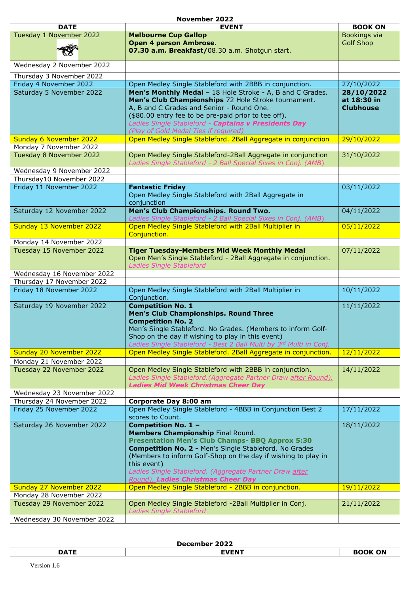#### **November 2022**

|                            | NUVEIIIDEI <i>L</i> ULL                                            |                  |
|----------------------------|--------------------------------------------------------------------|------------------|
| <b>DATE</b>                | <b>EVENT</b>                                                       | <b>BOOK ON</b>   |
| Tuesday 1 November 2022    | <b>Melbourne Cup Gallop</b>                                        | Bookings via     |
|                            | Open 4 person Ambrose.                                             | <b>Golf Shop</b> |
|                            | 07.30 a.m. Breakfast/08.30 a.m. Shotgun start.                     |                  |
|                            |                                                                    |                  |
| Wednesday 2 November 2022  |                                                                    |                  |
|                            |                                                                    |                  |
| Thursday 3 November 2022   |                                                                    |                  |
| Friday 4 November 2022     | Open Medley Single Stableford with 2BBB in conjunction.            | 27/10/2022       |
| Saturday 5 November 2022   | Men's Monthly Medal - 18 Hole Stroke - A, B and C Grades.          | 28/10/2022       |
|                            | Men's Club Championships 72 Hole Stroke tournament.                | at 18:30 in      |
|                            | A, B and C Grades and Senior - Round One.                          | <b>Clubhouse</b> |
|                            | (\$80.00 entry fee to be pre-paid prior to tee off).               |                  |
|                            | Ladies Single Stableford - Captains v Presidents Day               |                  |
|                            | (Play of Gold Medal Ties if required)                              |                  |
| Sunday 6 November 2022     | Open Medley Single Stableford. 2Ball Aggregate in conjunction      | 29/10/2022       |
| Monday 7 November 2022     |                                                                    |                  |
| Tuesday 8 November 2022    | Open Medley Single Stableford-2Ball Aggregate in conjunction       | 31/10/2022       |
|                            | Ladies Single Stableford - 2 Ball Special Sixes in Conj. (AMB)     |                  |
|                            |                                                                    |                  |
| Wednesday 9 November 2022  |                                                                    |                  |
| Thursday10 November 2022   |                                                                    |                  |
| Friday 11 November 2022    | <b>Fantastic Friday</b>                                            | 03/11/2022       |
|                            | Open Medley Single Stableford with 2Ball Aggregate in              |                  |
|                            | conjunction                                                        |                  |
| Saturday 12 November 2022  | Men's Club Championships. Round Two.                               | 04/11/2022       |
|                            | Ladies Single Stableford - 2 Ball Special Sixes in Conj. (AMB)     |                  |
| Sunday 13 November 2022    | Open Medley Single Stableford with 2Ball Multiplier in             | 05/11/2022       |
|                            | Conjunction.                                                       |                  |
| Monday 14 November 2022    |                                                                    |                  |
| Tuesday 15 November 2022   | <b>Tiger Tuesday-Members Mid Week Monthly Medal</b>                | 07/11/2022       |
|                            |                                                                    |                  |
|                            | Open Men's Single Stableford - 2Ball Aggregate in conjunction.     |                  |
|                            | <b>Ladies Single Stableford</b>                                    |                  |
| Wednesday 16 November 2022 |                                                                    |                  |
| Thursday 17 November 2022  |                                                                    |                  |
| Friday 18 November 2022    | Open Medley Single Stableford with 2Ball Multiplier in             | 10/11/2022       |
|                            | Conjunction.                                                       |                  |
| Saturday 19 November 2022  | <b>Competition No. 1</b>                                           | 11/11/2022       |
|                            | Men's Club Championships. Round Three                              |                  |
|                            | <b>Competition No. 2</b>                                           |                  |
|                            | Men's Single Stableford. No Grades. (Members to inform Golf-       |                  |
|                            | Shop on the day if wishing to play in this event)                  |                  |
|                            | Ladies Single Stableford - Best 2 Ball Multi by 3rd Multi in Conj. |                  |
| Sunday 20 November 2022    | Open Medley Single Stableford. 2Ball Aggregate in conjunction.     | 12/11/2022       |
| Monday 21 November 2022    |                                                                    |                  |
| Tuesday 22 November 2022   | Open Medley Single Stableford with 2BBB in conjunction.            | 14/11/2022       |
|                            |                                                                    |                  |
|                            | Ladies Single Stableford. (Aggregate Partner Draw after Round).    |                  |
|                            | <b>Ladies Mid Week Christmas Cheer Day</b>                         |                  |
| Wednesday 23 November 2022 |                                                                    |                  |
| Thursday 24 November 2022  | Corporate Day 8:00 am                                              |                  |
| Friday 25 November 2022    | Open Medley Single Stableford - 4BBB in Conjunction Best 2         | 17/11/2022       |
|                            | scores to Count.                                                   |                  |
| Saturday 26 November 2022  | Competition No. 1 -                                                | 18/11/2022       |
|                            | Members Championship Final Round.                                  |                  |
|                            | <b>Presentation Men's Club Champs- BBQ Approx 5:30</b>             |                  |
|                            | Competition No. 2 - Men's Single Stableford. No Grades             |                  |
|                            | (Members to inform Golf-Shop on the day if wishing to play in      |                  |
|                            | this event)                                                        |                  |
|                            | Ladies Single Stableford. (Aggregate Partner Draw after            |                  |
|                            | <b>Round). Ladies Christmas Cheer Day</b>                          |                  |
| Sunday 27 November 2022    | Open Medley Single Stableford - 2BBB in conjunction.               | 19/11/2022       |
| Monday 28 November 2022    |                                                                    |                  |
| Tuesday 29 November 2022   | Open Medley Single Stableford -2Ball Multiplier in Conj.           | 21/11/2022       |
|                            | Ladies Single Stableford                                           |                  |
|                            |                                                                    |                  |
| Wednesday 30 November 2022 |                                                                    |                  |

**December 2022**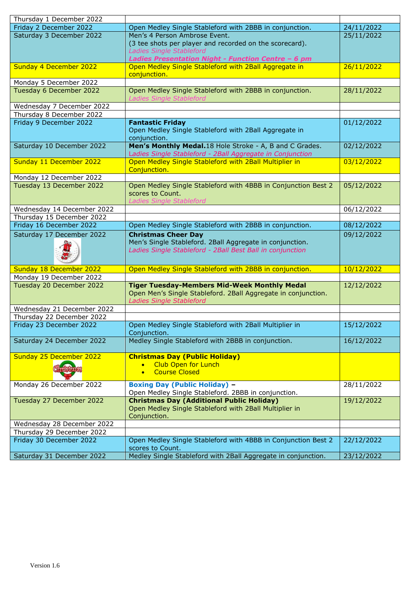| Thursday 1 December 2022   |                                                                                   |            |
|----------------------------|-----------------------------------------------------------------------------------|------------|
| Friday 2 December 2022     | Open Medley Single Stableford with 2BBB in conjunction.                           | 24/11/2022 |
| Saturday 3 December 2022   | Men's 4 Person Ambrose Event.                                                     | 25/11/2022 |
|                            | (3 tee shots per player and recorded on the scorecard).                           |            |
|                            | Ladies Single Stableford                                                          |            |
|                            | Ladies Presentation Night - Function Centre - 6 pm                                |            |
| Sunday 4 December 2022     | Open Medley Single Stableford with 2Ball Aggregate in                             | 26/11/2022 |
|                            | conjunction.                                                                      |            |
| Monday 5 December 2022     |                                                                                   |            |
| Tuesday 6 December 2022    | Open Medley Single Stableford with 2BBB in conjunction.                           | 28/11/2022 |
|                            | <b>Ladies Single Stableford</b>                                                   |            |
| Wednesday 7 December 2022  |                                                                                   |            |
| Thursday 8 December 2022   |                                                                                   |            |
| Friday 9 December 2022     | <b>Fantastic Friday</b>                                                           | 01/12/2022 |
|                            | Open Medley Single Stableford with 2Ball Aggregate in                             |            |
|                            | conjunction.                                                                      |            |
| Saturday 10 December 2022  | Men's Monthly Medal.18 Hole Stroke - A, B and C Grades.                           | 02/12/2022 |
|                            | Ladies Single Stableford - 2Ball Aggregate in Conjunction                         |            |
| Sunday 11 December 2022    | Open Medley Single Stableford with 2Ball Multiplier in                            | 03/12/2022 |
| Monday 12 December 2022    | Conjunction.                                                                      |            |
| Tuesday 13 December 2022   | Open Medley Single Stableford with 4BBB in Conjunction Best 2                     | 05/12/2022 |
|                            | scores to Count.                                                                  |            |
|                            | Ladies Single Stableford                                                          |            |
| Wednesday 14 December 2022 |                                                                                   | 06/12/2022 |
| Thursday 15 December 2022  |                                                                                   |            |
| Friday 16 December 2022    | Open Medley Single Stableford with 2BBB in conjunction.                           | 08/12/2022 |
| Saturday 17 December 2022  | <b>Christmas Cheer Day</b>                                                        | 09/12/2022 |
|                            | Men's Single Stableford. 2Ball Aggregate in conjunction.                          |            |
|                            | Ladies Single Stableford - 2Ball Best Ball in conjunction                         |            |
|                            |                                                                                   |            |
|                            |                                                                                   |            |
| Sunday 18 December 2022    | Open Medley Single Stableford with 2BBB in conjunction.                           | 10/12/2022 |
| Monday 19 December 2022    | <b>Tiger Tuesday-Members Mid-Week Monthly Medal</b>                               | 12/12/2022 |
| Tuesday 20 December 2022   | Open Men's Single Stableford. 2Ball Aggregate in conjunction.                     |            |
|                            | <b>Ladies Single Stableford</b>                                                   |            |
| Wednesday 21 December 2022 |                                                                                   |            |
|                            |                                                                                   |            |
|                            |                                                                                   |            |
| Thursday 22 December 2022  |                                                                                   |            |
| Friday 23 December 2022    | Open Medley Single Stableford with 2Ball Multiplier in                            | 15/12/2022 |
|                            | Conjunction.                                                                      |            |
| Saturday 24 December 2022  | Medley Single Stableford with 2BBB in conjunction.                                | 16/12/2022 |
|                            |                                                                                   |            |
| Sunday 25 December 2022    | <b>Christmas Day (Public Holiday)</b><br><b>Club Open for Lunch</b><br>$\bullet$  |            |
|                            | <b>Course Closed</b><br>$\bullet$                                                 |            |
|                            |                                                                                   |            |
| Monday 26 December 2022    | <b>Boxing Day (Public Holiday) -</b>                                              | 28/11/2022 |
|                            | Open Medley Single Stableford. 2BBB in conjunction.                               |            |
| Tuesday 27 December 2022   | <b>Christmas Day (Additional Public Holiday)</b>                                  | 19/12/2022 |
|                            | Open Medley Single Stableford with 2Ball Multiplier in                            |            |
|                            | Conjunction.                                                                      |            |
| Wednesday 28 December 2022 |                                                                                   |            |
| Thursday 29 December 2022  |                                                                                   |            |
| Friday 30 December 2022    | Open Medley Single Stableford with 4BBB in Conjunction Best 2                     | 22/12/2022 |
| Saturday 31 December 2022  | scores to Count.<br>Medley Single Stableford with 2Ball Aggregate in conjunction. | 23/12/2022 |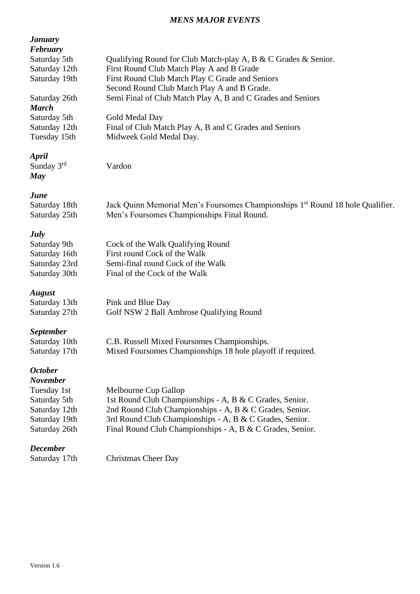#### *MENS MAJOR EVENTS*

| <b><i>January</i></b><br>February |                                                                                            |
|-----------------------------------|--------------------------------------------------------------------------------------------|
| Saturday 5th                      | Qualifying Round for Club Match-play A, B & C Grades & Senior.                             |
| Saturday 12th                     | First Round Club Match Play A and B Grade                                                  |
| Saturday 19th                     | First Round Club Match Play C Grade and Seniors                                            |
|                                   | Second Round Club Match Play A and B Grade.                                                |
| Saturday 26th<br><b>March</b>     | Semi Final of Club Match Play A, B and C Grades and Seniors                                |
| Saturday 5th                      | Gold Medal Day                                                                             |
| Saturday 12th                     | Final of Club Match Play A, B and C Grades and Seniors                                     |
| Tuesday 15th                      | Midweek Gold Medal Day.                                                                    |
| April<br>Sunday $3rd$<br>May      | Vardon                                                                                     |
| June                              |                                                                                            |
| Saturday 18th                     | Jack Quinn Memorial Men's Foursomes Championships 1 <sup>st</sup> Round 18 hole Qualifier. |
| Saturday 25th                     | Men's Foursomes Championships Final Round.                                                 |
| <b>July</b>                       |                                                                                            |
| Saturday 9th                      | Cock of the Walk Qualifying Round                                                          |
| Saturday 16th                     | First round Cock of the Walk                                                               |
| Saturday 23rd                     | Semi-final round Cock of the Walk                                                          |
| Saturday 30th                     | Final of the Cock of the Walk                                                              |
| <b>August</b>                     |                                                                                            |
| Saturday 13th                     | Pink and Blue Day                                                                          |
| Saturday 27th                     | Golf NSW 2 Ball Ambrose Qualifying Round                                                   |
| <b>September</b>                  |                                                                                            |
| Saturday 10th                     | C.B. Russell Mixed Foursomes Championships.                                                |
| Saturday 17th                     | Mixed Foursomes Championships 18 hole playoff if required.                                 |
| <b>October</b><br><b>November</b> |                                                                                            |
| Tuesday 1st                       | Melbourne Cup Gallop                                                                       |
| Saturday 5th                      | 1st Round Club Championships - A, B & C Grades, Senior.                                    |
| Saturday 12th                     | 2nd Round Club Championships - A, B & C Grades, Senior.                                    |
| Saturday 19th                     | 3rd Round Club Championships - A, B & C Grades, Senior.                                    |
| Saturday 26th                     | Final Round Club Championships - A, B & C Grades, Senior.                                  |
| <b>December</b>                   |                                                                                            |
| Saturday 17th                     | <b>Christmas Cheer Day</b>                                                                 |
|                                   |                                                                                            |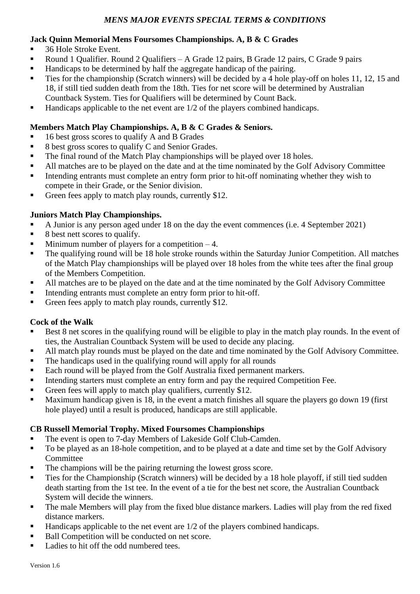#### **Jack Quinn Memorial Mens Foursomes Championships. A, B & C Grades**

- 36 Hole Stroke Event.
- Round 1 Qualifier. Round 2 Qualifiers A Grade 12 pairs, B Grade 12 pairs, C Grade 9 pairs
- Handicaps to be determined by half the aggregate handicap of the pairing.
- **Ties for the championship (Scratch winners) will be decided by a 4 hole play-off on holes 11, 12, 15 and** 18, if still tied sudden death from the 18th. Ties for net score will be determined by Australian Countback System. Ties for Qualifiers will be determined by Count Back.
- $\blacksquare$  Handicaps applicable to the net event are 1/2 of the players combined handicaps.

#### **Members Match Play Championships. A, B & C Grades & Seniors.**

- 16 best gross scores to qualify A and B Grades
- 8 best gross scores to qualify C and Senior Grades.
- The final round of the Match Play championships will be played over 18 holes.
- All matches are to be played on the date and at the time nominated by the Golf Advisory Committee
- Intending entrants must complete an entry form prior to hit-off nominating whether they wish to compete in their Grade, or the Senior division.
- Green fees apply to match play rounds, currently \$12.

#### **Juniors Match Play Championships.**

- A Junior is any person aged under 18 on the day the event commences (i.e. 4 September 2021)
- 8 best nett scores to qualify.
- **•** Minimum number of players for a competition  $-4$ .
- The qualifying round will be 18 hole stroke rounds within the Saturday Junior Competition. All matches of the Match Play championships will be played over 18 holes from the white tees after the final group of the Members Competition.
- All matches are to be played on the date and at the time nominated by the Golf Advisory Committee
- **•** Intending entrants must complete an entry form prior to hit-off.
- Green fees apply to match play rounds, currently \$12.

### **Cock of the Walk**

- Best 8 net scores in the qualifying round will be eligible to play in the match play rounds. In the event of ties, the Australian Countback System will be used to decide any placing.
- All match play rounds must be played on the date and time nominated by the Golf Advisory Committee.
- The handicaps used in the qualifying round will apply for all rounds
- Each round will be played from the Golf Australia fixed permanent markers.
- **Intending starters must complete an entry form and pay the required Competition Fee.**
- Green fees will apply to match play qualifiers, currently \$12.
- Maximum handicap given is 18, in the event a match finishes all square the players go down 19 (first hole played) until a result is produced, handicaps are still applicable.

### **CB Russell Memorial Trophy. Mixed Foursomes Championships**

- The event is open to 7-day Members of Lakeside Golf Club-Camden.
- To be played as an 18-hole competition, and to be played at a date and time set by the Golf Advisory Committee
- The champions will be the pairing returning the lowest gross score.
- **•** Ties for the Championship (Scratch winners) will be decided by a 18 hole playoff, if still tied sudden death starting from the 1st tee. In the event of a tie for the best net score, the Australian Countback System will decide the winners.
- **•** The male Members will play from the fixed blue distance markers. Ladies will play from the red fixed distance markers.
- Handicaps applicable to the net event are 1/2 of the players combined handicaps.
- Ball Competition will be conducted on net score.
- Ladies to hit off the odd numbered tees.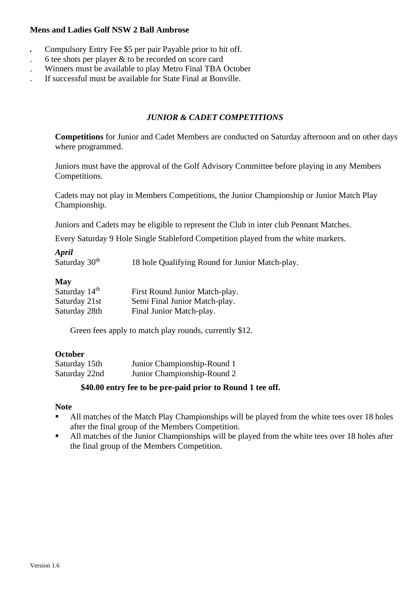#### **Mens and Ladies Golf NSW 2 Ball Ambrose**

- *.* Compulsory Entry Fee \$5 per pair Payable prior to hit off.
- . 6 tee shots per player & to be recorded on score card
- . Winners must be available to play Metro Final TBA October
- . If successful must be available for State Final at Bonville.

#### *JUNIOR & CADET COMPETITIONS*

**Competitions** for Junior and Cadet Members are conducted on Saturday afternoon and on other days where programmed.

Juniors must have the approval of the Golf Advisory Committee before playing in any Members Competitions.

Cadets may not play in Members Competitions, the Junior Championship or Junior Match Play Championship.

Juniors and Cadets may be eligible to represent the Club in inter club Pennant Matches.

Every Saturday 9 Hole Single Stableford Competition played from the white markers.

#### *April*

Saturday  $30<sup>th</sup>$  18 hole Qualifying Round for Junior Match-play.

#### **May**

| Saturday 14 <sup>th</sup> | First Round Junior Match-play. |
|---------------------------|--------------------------------|
| Saturday 21st             | Semi Final Junior Match-play.  |
| Saturday 28th             | Final Junior Match-play.       |

Green fees apply to match play rounds, currently \$12.

#### **October**

| Saturday 15th | Junior Championship-Round 1 |
|---------------|-----------------------------|
| Saturday 22nd | Junior Championship-Round 2 |

#### **\$40.00 entry fee to be pre-paid prior to Round 1 tee off.**

#### **Note**

- All matches of the Match Play Championships will be played from the white tees over 18 holes after the final group of the Members Competition.
- All matches of the Junior Championships will be played from the white tees over 18 holes after the final group of the Members Competition.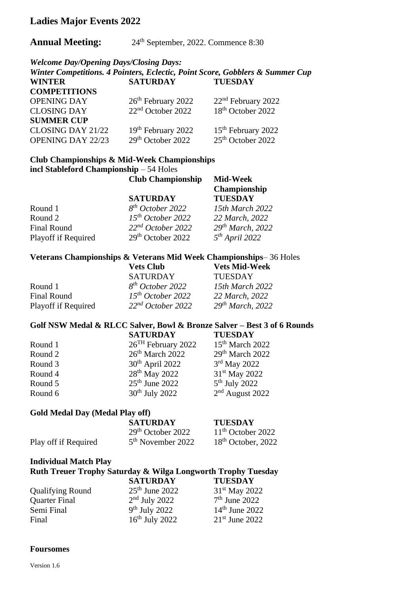## **Ladies Major Events 2022**

#### **Annual Meeting:** 24<sup>th</sup> September, 2022. Commence 8:30

*Welcome Day/Opening Days/Closing Days:*

|                     |                                | Winter Competitions. 4 Pointers, Eclectic, Point Score, Gobblers & Summer Cup |
|---------------------|--------------------------------|-------------------------------------------------------------------------------|
| <b>WINTER</b>       | <b>SATURDAY</b>                | <b>TUESDAY</b>                                                                |
| <b>COMPETITIONS</b> |                                |                                                                               |
| <b>OPENING DAY</b>  | 26 <sup>th</sup> February 2022 | $22nd$ February 2022                                                          |
| <b>CLOSING DAY</b>  | $22nd$ October 2022            | 18 <sup>th</sup> October 2022                                                 |
| <b>SUMMER CUP</b>   |                                |                                                                               |
| CLOSING DAY 21/22   | 19th February 2022             | 15 <sup>th</sup> February 2022                                                |
| OPENING DAY 22/23   | $29th$ October 2022            | 25 <sup>th</sup> October 2022                                                 |

#### **Club Championships & Mid-Week Championships incl Stableford Championship** – 54 Holes **Club Championship Mid-Week**

|                     | $\sim$ 180 $\sim$ 118111 $\mu$ |                              |
|---------------------|--------------------------------|------------------------------|
|                     |                                | Championship                 |
|                     | <b>SATURDAY</b>                | <b>TUESDAY</b>               |
| Round 1             | $8^{th}$ October 2022          | 15th March 2022              |
| Round 2             | $15^{th}$ October 2022         | 22 March, 2022               |
| <b>Final Round</b>  | 22 <sup>nd</sup> October 2022  | 29 <sup>th</sup> March, 2022 |
| Playoff if Required | $29th$ October 2022            | $5th$ April 2022             |

#### **Veterans Championships & Veterans Mid Week Championships**– 36 Holes

|                     | <b>Vets Club</b>              | <b>Vets Mid-Week</b>         |
|---------------------|-------------------------------|------------------------------|
|                     | <b>SATURDAY</b>               | <b>TUESDAY</b>               |
| Round 1             | 8 <sup>th</sup> October 2022  | 15th March 2022              |
| <b>Final Round</b>  | $15^{th}$ October 2022        | 22 March, 2022               |
| Playoff if Required | 22 <sup>nd</sup> October 2022 | 29 <sup>th</sup> March, 2022 |

#### **Golf NSW Medal & RLCC Salver, Bowl & Bronze Salver – Best 3 of 6 Rounds SATURDAY TUESDAY**

| Round 1 | $26TH$ February 2022        | $15th$ March 2022         |
|---------|-----------------------------|---------------------------|
| Round 2 | 26 <sup>th</sup> March 2022 | $29th$ March 2022         |
| Round 3 | $30th$ April 2022           | $3rd$ May 2022            |
| Round 4 | 28 <sup>th</sup> May 2022   | 31 <sup>st</sup> May 2022 |
| Round 5 | $25th$ June 2022            | $5th$ July 2022           |
| Round 6 | $30th$ July 2022            | $2nd$ August 2022         |

#### **Gold Medal Day (Medal Play off)**

|                      | <b>SATURDAY</b>               | <b>TUESDAY</b>       |
|----------------------|-------------------------------|----------------------|
|                      | $29th$ October 2022           | $11th$ October 2022  |
| Play off if Required | 5 <sup>th</sup> November 2022 | $18th$ October, 2022 |

#### **Individual Match Play**

#### **Ruth Treuer Trophy Saturday & Wilga Longworth Trophy Tuesday**

|                         | <b>SATURDAY</b>  | <b>TUESDAY</b>   |
|-------------------------|------------------|------------------|
| <b>Qualifying Round</b> | $25th$ June 2022 | $31st$ May 2022  |
| <b>Quarter Final</b>    | $2nd$ July 2022  | $7th$ June 2022  |
| Semi Final              | $9th$ July 2022  | $14th$ June 2022 |
| Final                   | $16th$ July 2022 | $21st$ June 2022 |

#### **Foursomes**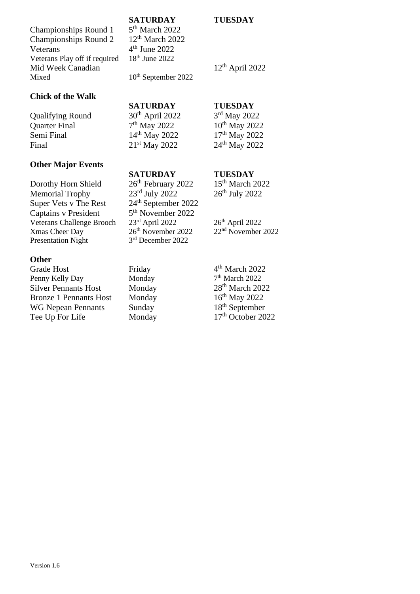Version 1.6

# **SATURDAY TUESDAY**

# $5<sup>th</sup>$  March 2022 Veterans  $4<sup>th</sup>$  June 2022<br>Veterans Play off if required  $18<sup>th</sup>$  June 2022  $4<sup>th</sup>$  June 2022 Mid Week Canadian 12<sup>th</sup> April 2022

**Chick of the Walk**

Veterans Play off if required

Qualifying Round  $30^{th}$  April 2022<br>Quarter Final  $7^{th}$  May 2022 Quarter Final 7 Semi Final 14<sup>th</sup> May 2022 17<sup>th</sup> May 2022 Final 21<sup>st</sup> May 2022 24<sup>th</sup> May 2022

### **Other Major Events**

Dorothy Horn Shield  $26<sup>th</sup>$  February 2022 15<sup>th</sup> March 2022 Memorial Trophy  $23<sup>rd</sup>$  July 2022  $26<sup>th</sup>$  July 2022 Super Vets v The Rest 24<sup>th</sup> September 2022 Captains v President Veterans Challenge Brooch 23<sup>rd</sup> April 2022 26<sup>th</sup> April 2022<br>
Xmas Cheer Day 26<sup>th</sup> November 2022 22<sup>nd</sup> November 2022  $X$ mas Cheer Day  $26<sup>th</sup>$  November 2022 Presentation Night

#### **Other**

Grade Host Friday Penny Kelly Day Monday Silver Pennants Host Monday 28<sup>th</sup> March 2022 Bronze 1 Pennants Host Monday 16<sup>th</sup> May 2022<br>WG Nepean Pennants Sunday 18<sup>th</sup> September WG Nepean Pennants Sunday Tee Up For Life Monday 17<sup>th</sup> October 2022

Mixed  $10^{th}$  September 2022

# **SATURDAY TUESDAY**

### **SATURDAY TUESDAY**

5<sup>th</sup> November 2022 3rd December 2022

 $4<sup>th</sup>$  March 2022  $7<sup>th</sup>$  March 2022

3<sup>rd</sup> May 2022  $10<sup>th</sup>$  May 2022

Championships Round 1 Championships Round 2 12<sup>th</sup> March 2022